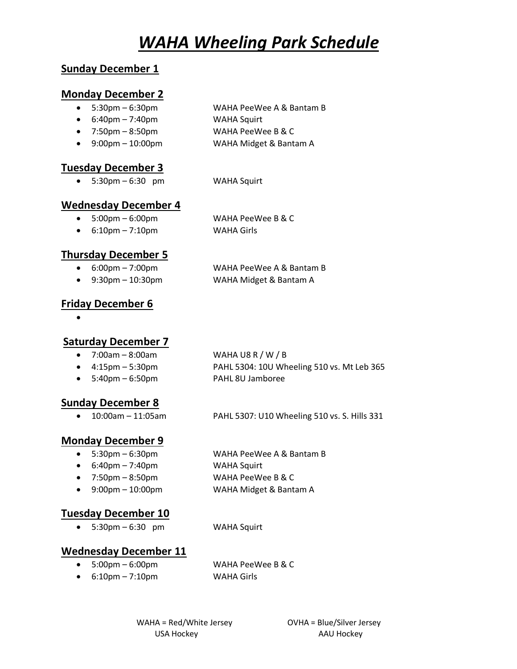# *WAHA Wheeling Park Schedule*

## **Sunday December 1**

#### **Monday December 2**

- 5:30pm 6:30pm WAHA PeeWee A & Bantam B
- 6:40pm 7:40pm WAHA Squirt
- 7:50pm 8:50pm vAHA PeeWee B & C
- 9:00pm 10:00pm WAHA Midget & Bantam A

#### **Tuesday December 3**

• 5:30pm – 6:30 pm WAHA Squirt

## **Wednesday December 4**

- 5:00pm 6:00pm WAHA PeeWee B & C • 6:10pm – 7:10pm WAHA Girls
- **Thursday December 5**
	-
	- 9:30pm 10:30pm WAHA Midget & Bantam A
	- 6:00pm 7:00pm WAHA PeeWee A & Bantam B

## **Friday December 6**

•

#### **Saturday December 7**

- $7:00$ am  $8:00$ am  $W$ AHA U8 R / W / B
- 4:15pm 5:30pm PAHL 5304: 10U Wheeling 510 vs. Mt Leb 365
- 5:40pm 6:50pm variable and PAHL 8U Jamboree

## **Sunday December 8**

• 10:00am – 11:05am PAHL 5307: U10 Wheeling 510 vs. S. Hills 331

## **Monday December 9**

- 
- $\bullet$  6:40pm 7:40pm  $\bullet$  WAHA Squirt
- 
- 

**Tuesday December 10**

• 5:30pm – 6:30 pm WAHA Squirt

## **Wednesday December 11**

• 5:00pm – 6:00pm WAHA PeeWee B & C

• 6:10pm – 7:10pm WAHA Girls

WAHA = Red/White Jersey OVHA = Blue/Silver Jersey USA Hockey AAU Hockey

- 5:30pm 6:30pm WAHA PeeWee A & Bantam B
	-
- 7:50pm 8:50pm vAHA PeeWee B & C
- 9:00pm 10:00pm WAHA Midget & Bantam A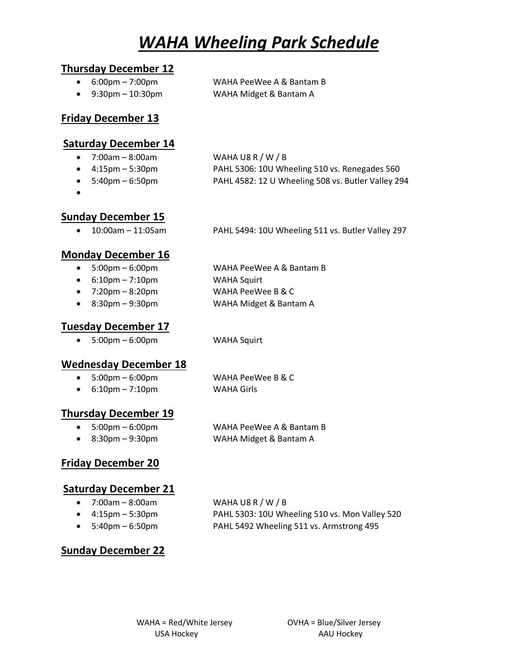# *WAHA Wheeling Park Schedule*

#### **Thursday December 12**

- 6:00pm 7:00pm WAHA PeeWee A & Bantam B
- 9:30pm 10:30pm WAHA Midget & Bantam A

#### **Friday December 13**

#### **Saturday December 14**

- 7:00am 8:00am WAHA U8 R / W / B
- 
- 
- •

• 4:15pm – 5:30pm PAHL 5306: 10U Wheeling 510 vs. Renegades 560

- 5:40pm 6:50pm PAHL 4582: 12 U Wheeling 508 vs. Butler Valley 294
- **Sunday December 15**
	- 10:00am 11:05am PAHL 5494: 10U Wheeling 511 vs. Butler Valley 297

## **Monday December 16**

- 5:00pm 6:00pm WAHA PeeWee A & Bantam B
- 6:10pm 7:10pm WAHA Squirt
- 7:20pm 8:20pm vAHA PeeWee B & C

• 8:30pm – 9:30pm WAHA Midget & Bantam A

## **Tuesday December 17**

• 5:00pm – 6:00pm WAHA Squirt

## **Wednesday December 18**

• 5:00pm – 6:00pm WAHA PeeWee B & C

• 6:10pm – 7:10pm WAHA Girls

## **Thursday December 19**

• 5:00pm – 6:00pm WAHA PeeWee A & Bantam B • 8:30pm – 9:30pm WAHA Midget & Bantam A

## **Friday December 20**

## **Saturday December 21**

- 7:00am 8:00am WAHA U8 R / W / B
- 
- 

• 4:15pm – 5:30pm PAHL 5303: 10U Wheeling 510 vs. Mon Valley 520 • 5:40pm – 6:50pm PAHL 5492 Wheeling 511 vs. Armstrong 495

## **Sunday December 22**